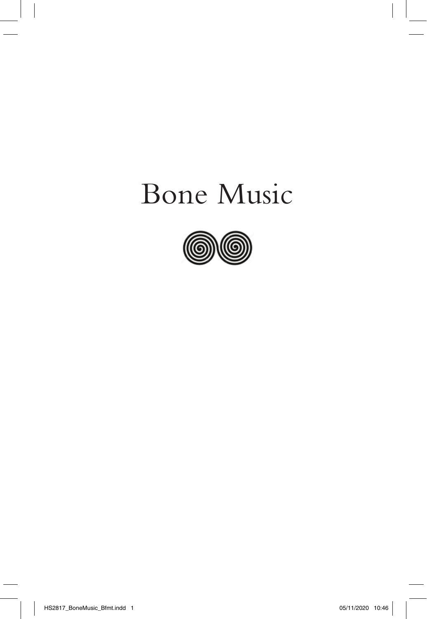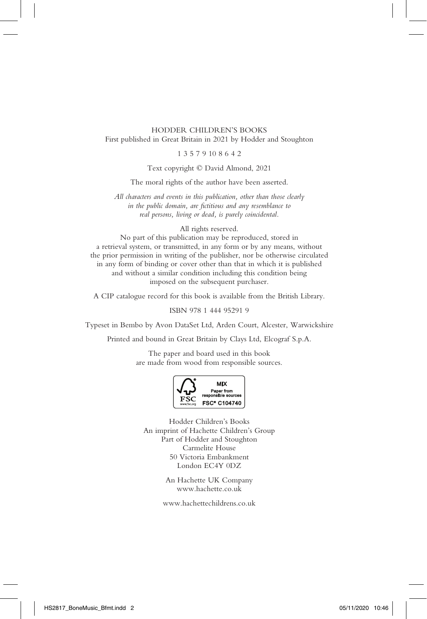#### HODDER CHILDREN'S BOOKS First published in Great Britain in 2021 by Hodder and Stoughton

#### 1 3 5 7 9 10 8 6 4 2

Text copyright © David Almond, 2021

The moral rights of the author have been asserted.

*All characters and events in this publication, other than those clearly in the public domain, are fictitious and any resemblance to real persons, living or dead, is purely coincidental.*

All rights reserved.

No part of this publication may be reproduced, stored in a retrieval system, or transmitted, in any form or by any means, without the prior permission in writing of the publisher, nor be otherwise circulated in any form of binding or cover other than that in which it is published and without a similar condition including this condition being imposed on the subsequent purchaser.

A CIP catalogue record for this book is available from the British Library.

ISBN 978 1 444 95291 9

Typeset in Bembo by Avon DataSet Ltd, Arden Court, Alcester, Warwickshire

Printed and bound in Great Britain by Clays Ltd, Elcograf S.p.A.

The paper and board used in this book are made from wood from responsible sources.



Hodder Children's Books An imprint of Hachette Children's Group Part of Hodder and Stoughton Carmelite House 50 Victoria Embankment London EC4Y 0DZ

> An Hachette UK Company www.hachette.co.uk

www.hachettechildrens.co.uk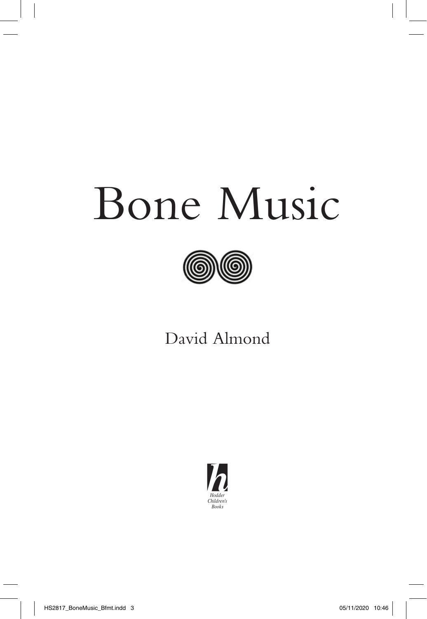

### David Almond

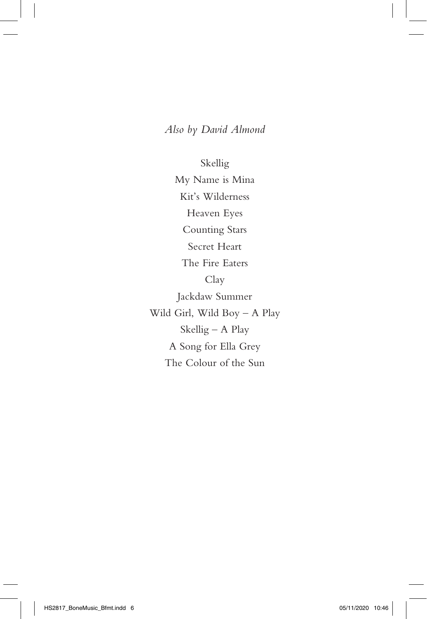#### *Also by David Almond*

Skellig My Name is Mina Kit's Wilderness Heaven Eyes Counting Stars Secret Heart The Fire Eaters Clay Jackdaw Summer Wild Girl, Wild Boy – A Play Skellig – A Play A Song for Ella Grey The Colour of the Sun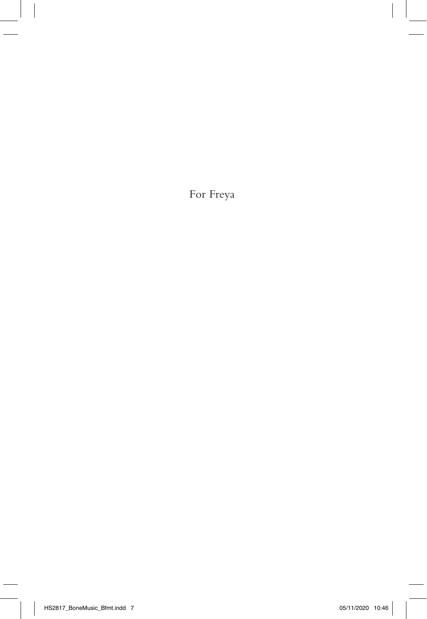For Freya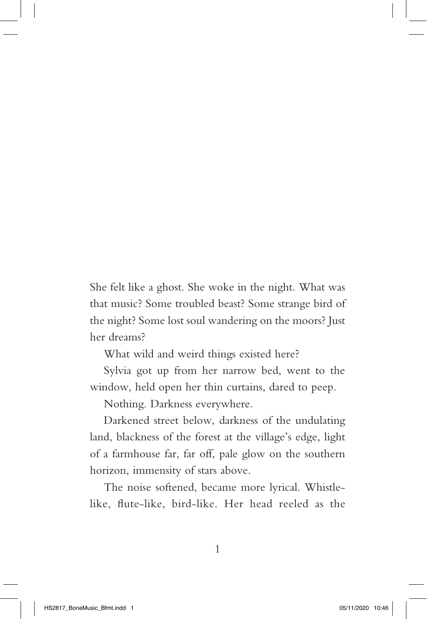She felt like a ghost. She woke in the night. What was that music? Some troubled beast? Some strange bird of the night? Some lost soul wandering on the moors? Just her dreams?

What wild and weird things existed here?

Sylvia got up from her narrow bed, went to the window, held open her thin curtains, dared to peep.

Nothing. Darkness everywhere.

Darkened street below, darkness of the undulating land, blackness of the forest at the village's edge, light of a farmhouse far, far off, pale glow on the southern horizon, immensity of stars above.

The noise softened, became more lyrical. Whistlelike, flute-like, bird-like. Her head reeled as the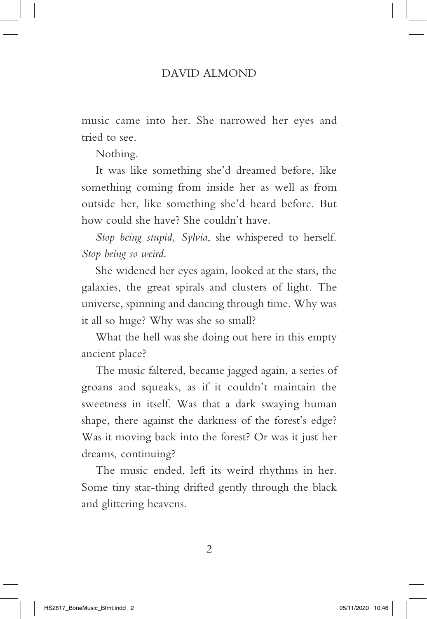music came into her. She narrowed her eyes and tried to see.

Nothing.

It was like something she'd dreamed before, like something coming from inside her as well as from outside her, like something she'd heard before. But how could she have? She couldn't have.

*Stop being stupid, Sylvia*, she whispered to herself. *Stop being so weird*.

She widened her eyes again, looked at the stars, the galaxies, the great spirals and clusters of light. The universe, spinning and dancing through time. Why was it all so huge? Why was she so small?

What the hell was she doing out here in this empty ancient place?

The music faltered, became jagged again, a series of groans and squeaks, as if it couldn't maintain the sweetness in itself. Was that a dark swaying human shape, there against the darkness of the forest's edge? Was it moving back into the forest? Or was it just her dreams, continuing?

The music ended, left its weird rhythms in her. Some tiny star-thing drifted gently through the black and glittering heavens.

 $\mathcal{D}_{\mathcal{L}}$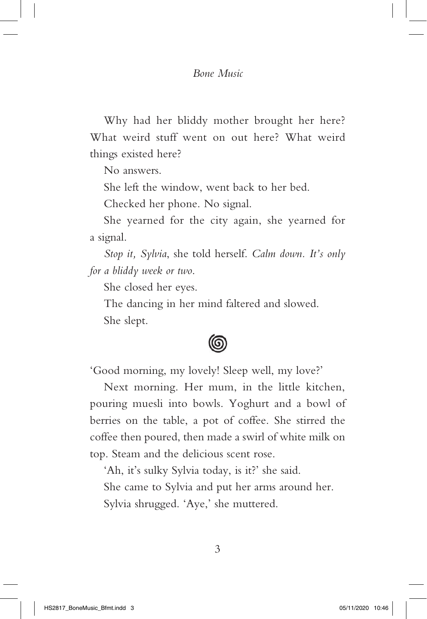Why had her bliddy mother brought her here? What weird stuff went on out here? What weird things existed here?

No answers.

She left the window, went back to her bed.

Checked her phone. No signal.

She yearned for the city again, she yearned for a signal.

*Stop it, Sylvia*, she told herself. *Calm down. It's only for a bliddy week or two*.

She closed her eyes.

The dancing in her mind faltered and slowed. She slept.

## 6

'Good morning, my lovely! Sleep well, my love?'

Next morning. Her mum, in the little kitchen, pouring muesli into bowls. Yoghurt and a bowl of berries on the table, a pot of coffee. She stirred the coffee then poured, then made a swirl of white milk on top. Steam and the delicious scent rose.

'Ah, it's sulky Sylvia today, is it?' she said. She came to Sylvia and put her arms around her. Sylvia shrugged. 'Aye,' she muttered.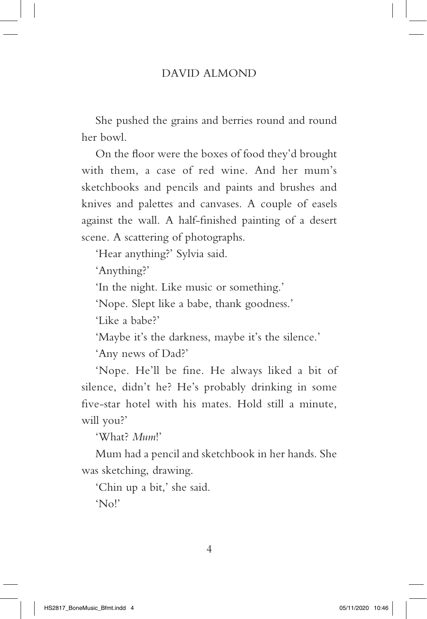She pushed the grains and berries round and round her bowl.

On the floor were the boxes of food they'd brought with them, a case of red wine. And her mum's sketchbooks and pencils and paints and brushes and knives and palettes and canvases. A couple of easels against the wall. A half-finished painting of a desert scene. A scattering of photographs.

'Hear anything?' Sylvia said.

'Anything?'

'In the night. Like music or something.'

'Nope. Slept like a babe, thank goodness.'

'Like a babe?'

'Maybe it's the darkness, maybe it's the silence.'

'Any news of Dad?'

'Nope. He'll be fine. He always liked a bit of silence, didn't he? He's probably drinking in some five-star hotel with his mates. Hold still a minute, will you?'

'What? *Mum*!'

Mum had a pencil and sketchbook in her hands. She was sketching, drawing.

'Chin up a bit,' she said. 'No!'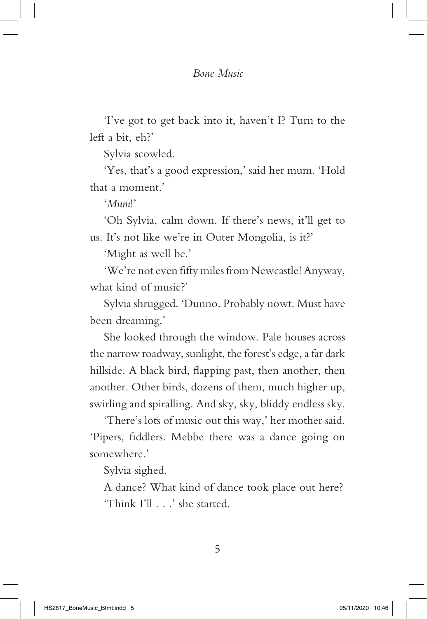'I've got to get back into it, haven't I? Turn to the left a bit, eh?'

Sylvia scowled.

'Yes, that's a good expression,' said her mum. 'Hold that a moment.'

'*Mum*!'

'Oh Sylvia, calm down. If there's news, it'll get to us. It's not like we're in Outer Mongolia, is it?'

'Might as well be.'

'We're not even fifty miles from Newcastle! Anyway, what kind of music?'

Sylvia shrugged. 'Dunno. Probably nowt. Must have been dreaming.'

She looked through the window. Pale houses across the narrow roadway, sunlight, the forest's edge, a far dark hillside. A black bird, flapping past, then another, then another. Other birds, dozens of them, much higher up, swirling and spiralling. And sky, sky, bliddy endless sky.

'There's lots of music out this way,' her mother said. 'Pipers, fiddlers. Mebbe there was a dance going on somewhere.'

Sylvia sighed.

A dance? What kind of dance took place out here? 'Think I'll . . .' she started.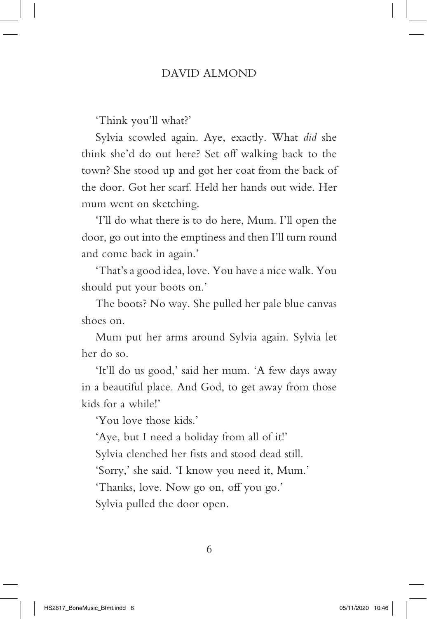'Think you'll what?'

Sylvia scowled again. Aye, exactly. What *did* she think she'd do out here? Set off walking back to the town? She stood up and got her coat from the back of the door. Got her scarf. Held her hands out wide. Her mum went on sketching.

'I'll do what there is to do here, Mum. I'll open the door, go out into the emptiness and then I'll turn round and come back in again.'

'That's a good idea, love. You have a nice walk. You should put your boots on.'

The boots? No way. She pulled her pale blue canvas shoes on.

Mum put her arms around Sylvia again. Sylvia let her do so.

'It'll do us good,' said her mum. 'A few days away in a beautiful place. And God, to get away from those kids for a while!'

'You love those kids.'

'Aye, but I need a holiday from all of it!' Sylvia clenched her fists and stood dead still. 'Sorry,' she said. 'I know you need it, Mum.' 'Thanks, love. Now go on, off you go.' Sylvia pulled the door open.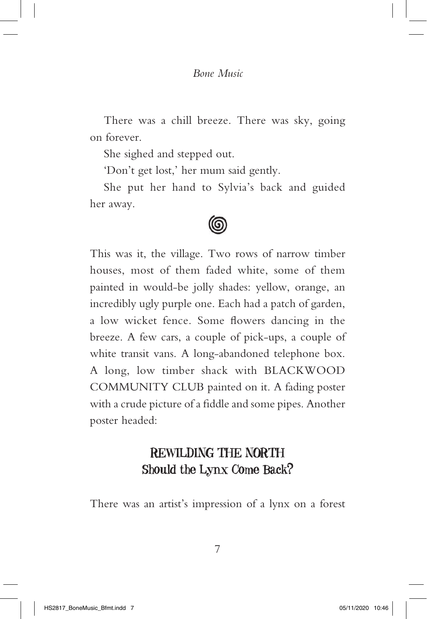There was a chill breeze. There was sky, going on forever.

She sighed and stepped out.

'Don't get lost,' her mum said gently.

She put her hand to Sylvia's back and guided her away.

## (ල

This was it, the village. Two rows of narrow timber houses, most of them faded white, some of them painted in would-be jolly shades: yellow, orange, an incredibly ugly purple one. Each had a patch of garden, a low wicket fence. Some flowers dancing in the breeze. A few cars, a couple of pick-ups, a couple of white transit vans. A long-abandoned telephone box. A long, low timber shack with BLACKWOOD COMMUNITY CLUB painted on it. A fading poster with a crude picture of a fiddle and some pipes. Another poster headed:

#### REWILDING THE NORTH Should the Lynx Come Back?

There was an artist's impression of a lynx on a forest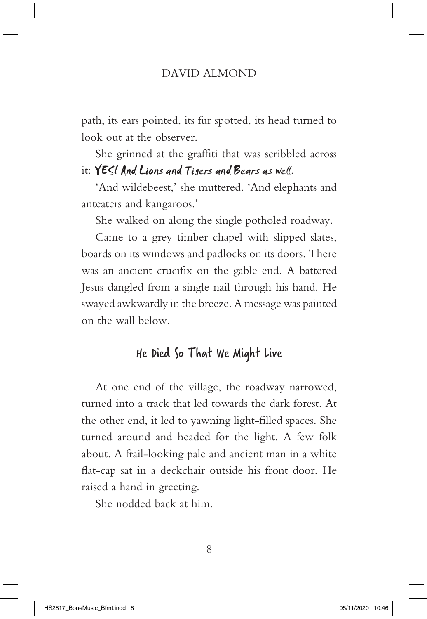path, its ears pointed, its fur spotted, its head turned to look out at the observer.

She grinned at the graffiti that was scribbled across it: YES! And Lions and Tigers and Bears as well.

'And wildebeest,' she muttered. 'And elephants and anteaters and kangaroos.'

She walked on along the single potholed roadway.

Came to a grey timber chapel with slipped slates, boards on its windows and padlocks on its doors. There was an ancient crucifix on the gable end. A battered Jesus dangled from a single nail through his hand. He swayed awkwardly in the breeze. A message was painted on the wall below.

#### He Died So That We Might Live

At one end of the village, the roadway narrowed, turned into a track that led towards the dark forest. At the other end, it led to yawning light-filled spaces. She turned around and headed for the light. A few folk about. A frail-looking pale and ancient man in a white flat-cap sat in a deckchair outside his front door. He raised a hand in greeting.

She nodded back at him.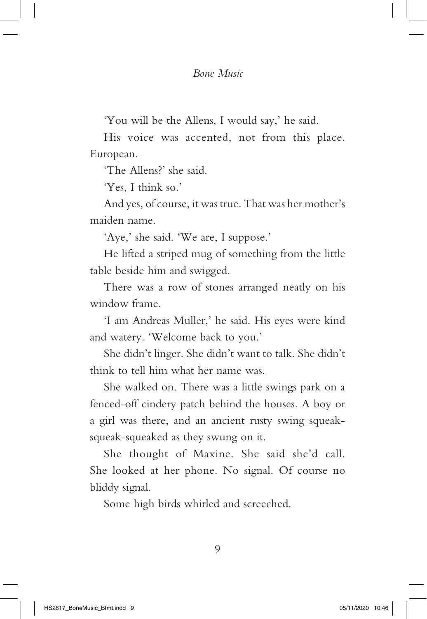'You will be the Allens, I would say,' he said.

His voice was accented, not from this place. European.

'The Allens?' she said.

'Yes, I think so.'

And yes, of course, it was true. That was her mother's maiden name.

'Aye,' she said. 'We are, I suppose.'

He lifted a striped mug of something from the little table beside him and swigged.

There was a row of stones arranged neatly on his window frame.

'I am Andreas Muller,' he said. His eyes were kind and watery. 'Welcome back to you.'

She didn't linger. She didn't want to talk. She didn't think to tell him what her name was.

She walked on. There was a little swings park on a fenced-off cindery patch behind the houses. A boy or a girl was there, and an ancient rusty swing squeaksqueak-squeaked as they swung on it.

She thought of Maxine. She said she'd call. She looked at her phone. No signal. Of course no bliddy signal.

Some high birds whirled and screeched.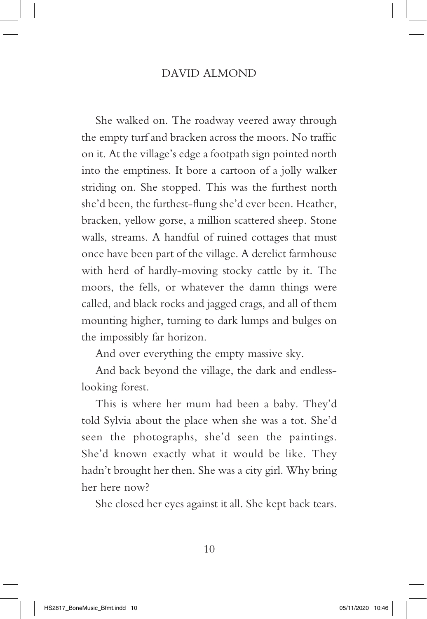She walked on. The roadway veered away through the empty turf and bracken across the moors. No traffic on it. At the village's edge a footpath sign pointed north into the emptiness. It bore a cartoon of a jolly walker striding on. She stopped. This was the furthest north she'd been, the furthest-flung she'd ever been. Heather, bracken, yellow gorse, a million scattered sheep. Stone walls, streams. A handful of ruined cottages that must once have been part of the village. A derelict farmhouse with herd of hardly-moving stocky cattle by it. The moors, the fells, or whatever the damn things were called, and black rocks and jagged crags, and all of them mounting higher, turning to dark lumps and bulges on the impossibly far horizon.

And over everything the empty massive sky.

And back beyond the village, the dark and endlesslooking forest.

This is where her mum had been a baby. They'd told Sylvia about the place when she was a tot. She'd seen the photographs, she'd seen the paintings. She'd known exactly what it would be like. They hadn't brought her then. She was a city girl. Why bring her here now?

She closed her eyes against it all. She kept back tears.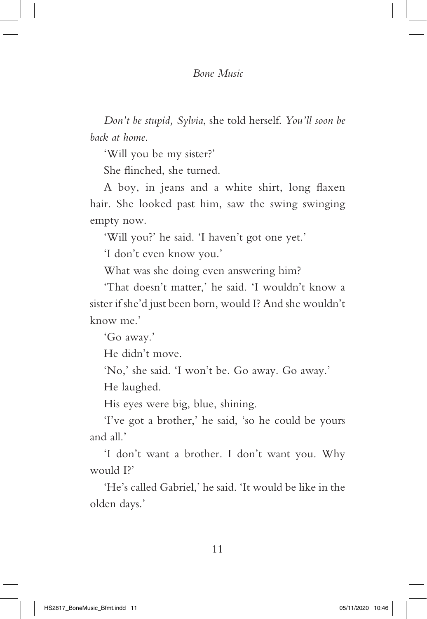*Don't be stupid, Sylvia*, she told herself. *You'll soon be back at home*.

'Will you be my sister?'

She flinched, she turned.

A boy, in jeans and a white shirt, long flaxen hair. She looked past him, saw the swing swinging empty now.

'Will you?' he said. 'I haven't got one yet.'

'I don't even know you.'

What was she doing even answering him?

'That doesn't matter,' he said. 'I wouldn't know a sister if she'd just been born, would I? And she wouldn't know me.'

'Go away.'

He didn't move.

'No,' she said. 'I won't be. Go away. Go away.'

He laughed.

His eyes were big, blue, shining.

'I've got a brother,' he said, 'so he could be yours and all.'

'I don't want a brother. I don't want you. Why would I?'

'He's called Gabriel,' he said. 'It would be like in the olden days.'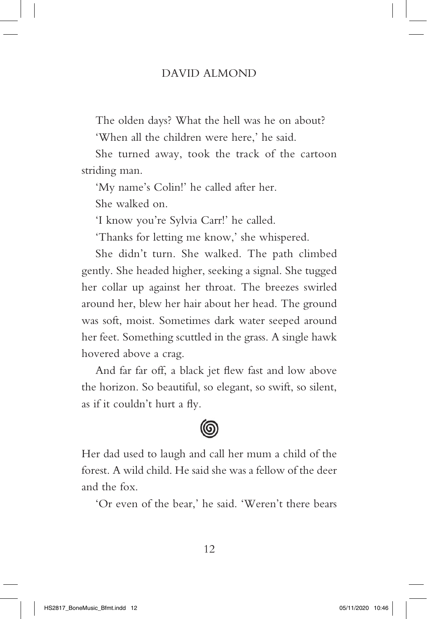The olden days? What the hell was he on about?

'When all the children were here,' he said.

She turned away, took the track of the cartoon striding man.

'My name's Colin!' he called after her.

She walked on.

'I know you're Sylvia Carr!' he called.

'Thanks for letting me know,' she whispered.

She didn't turn. She walked. The path climbed gently. She headed higher, seeking a signal. She tugged her collar up against her throat. The breezes swirled around her, blew her hair about her head. The ground was soft, moist. Sometimes dark water seeped around her feet. Something scuttled in the grass. A single hawk hovered above a crag.

And far far off, a black jet flew fast and low above the horizon. So beautiful, so elegant, so swift, so silent, as if it couldn't hurt a fly.



Her dad used to laugh and call her mum a child of the forest. A wild child. He said she was a fellow of the deer and the fox.

'Or even of the bear,' he said. 'Weren't there bears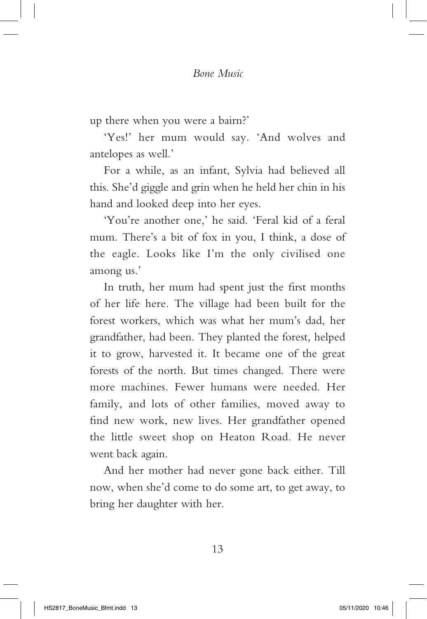up there when you were a bairn?'

'Yes!' her mum would say. 'And wolves and antelopes as well.'

For a while, as an infant, Sylvia had believed all this. She'd giggle and grin when he held her chin in his hand and looked deep into her eyes.

'You're another one,' he said. 'Feral kid of a feral mum. There's a bit of fox in you, I think, a dose of the eagle. Looks like I'm the only civilised one among us.'

In truth, her mum had spent just the first months of her life here. The village had been built for the forest workers, which was what her mum's dad, her grandfather, had been. They planted the forest, helped it to grow, harvested it. It became one of the great forests of the north. But times changed. There were more machines. Fewer humans were needed. Her family, and lots of other families, moved away to find new work, new lives. Her grandfather opened the little sweet shop on Heaton Road. He never went back again.

And her mother had never gone back either. Till now, when she'd come to do some art, to get away, to bring her daughter with her.

13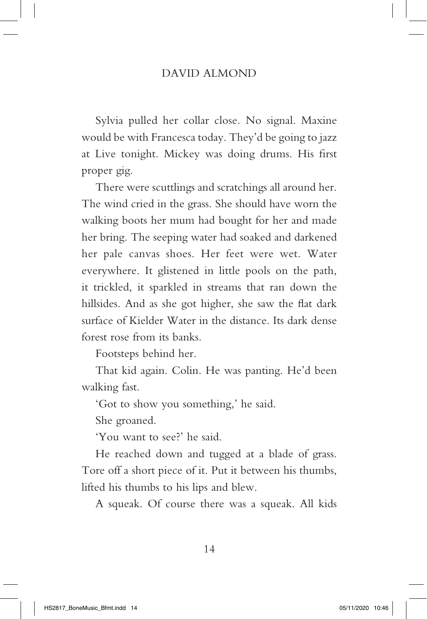Sylvia pulled her collar close. No signal. Maxine would be with Francesca today. They'd be going to jazz at Live tonight. Mickey was doing drums. His first proper gig.

There were scuttlings and scratchings all around her. The wind cried in the grass. She should have worn the walking boots her mum had bought for her and made her bring. The seeping water had soaked and darkened her pale canvas shoes. Her feet were wet. Water everywhere. It glistened in little pools on the path, it trickled, it sparkled in streams that ran down the hillsides. And as she got higher, she saw the flat dark surface of Kielder Water in the distance. Its dark dense forest rose from its banks.

Footsteps behind her.

That kid again. Colin. He was panting. He'd been walking fast.

'Got to show you something,' he said.

She groaned.

'You want to see?' he said.

He reached down and tugged at a blade of grass. Tore off a short piece of it. Put it between his thumbs, lifted his thumbs to his lips and blew.

A squeak. Of course there was a squeak. All kids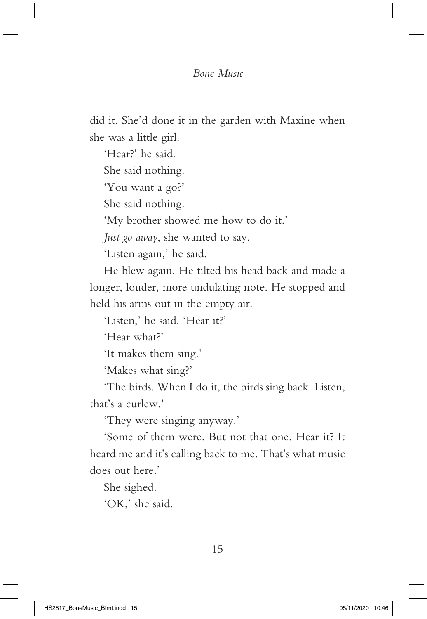did it. She'd done it in the garden with Maxine when she was a little girl.

'Hear?' he said. She said nothing. 'You want a go?' She said nothing. 'My brother showed me how to do it.' *Just go away*, she wanted to say.

'Listen again,' he said.

He blew again. He tilted his head back and made a longer, louder, more undulating note. He stopped and held his arms out in the empty air.

'Listen,' he said. 'Hear it?'

'Hear what?'

'It makes them sing.'

'Makes what sing?'

'The birds. When I do it, the birds sing back. Listen, that's a curlew.'

'They were singing anyway.'

'Some of them were. But not that one. Hear it? It heard me and it's calling back to me. That's what music does out here.'

She sighed.

'OK,' she said.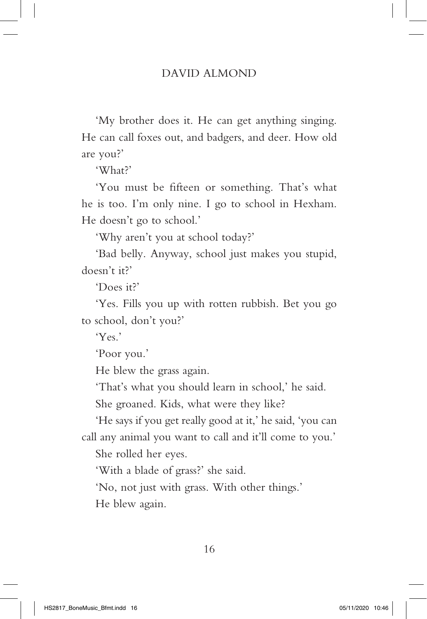'My brother does it. He can get anything singing. He can call foxes out, and badgers, and deer. How old are you?'

'What?'

'You must be fifteen or something. That's what he is too. I'm only nine. I go to school in Hexham. He doesn't go to school.'

'Why aren't you at school today?'

'Bad belly. Anyway, school just makes you stupid, doesn't it?'

'Does it?'

'Yes. Fills you up with rotten rubbish. Bet you go to school, don't you?'

 $Y_{\rho\varsigma}$ 

'Poor you.'

He blew the grass again.

'That's what you should learn in school,' he said.

She groaned. Kids, what were they like?

'He says if you get really good at it,' he said, 'you can call any animal you want to call and it'll come to you.' She rolled her eyes.

'With a blade of grass?' she said.

'No, not just with grass. With other things.'

He blew again.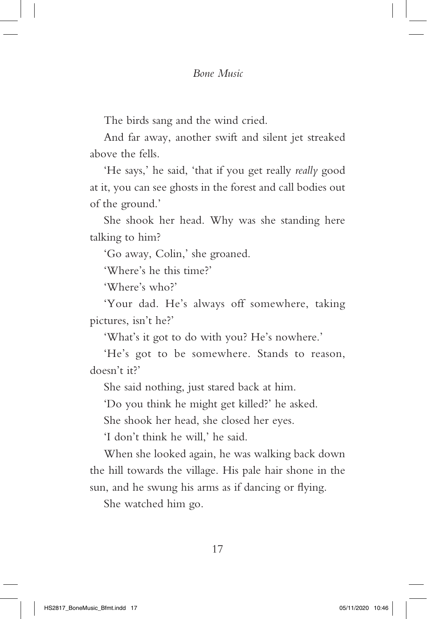The birds sang and the wind cried.

And far away, another swift and silent jet streaked above the fells.

'He says,' he said, 'that if you get really *really* good at it, you can see ghosts in the forest and call bodies out of the ground.'

She shook her head. Why was she standing here talking to him?

'Go away, Colin,' she groaned.

'Where's he this time?'

'Where's who?'

'Your dad. He's always off somewhere, taking pictures, isn't he?'

'What's it got to do with you? He's nowhere.'

'He's got to be somewhere. Stands to reason, doesn't it?'

She said nothing, just stared back at him.

'Do you think he might get killed?' he asked.

She shook her head, she closed her eyes.

'I don't think he will,' he said.

When she looked again, he was walking back down the hill towards the village. His pale hair shone in the sun, and he swung his arms as if dancing or flying.

She watched him go.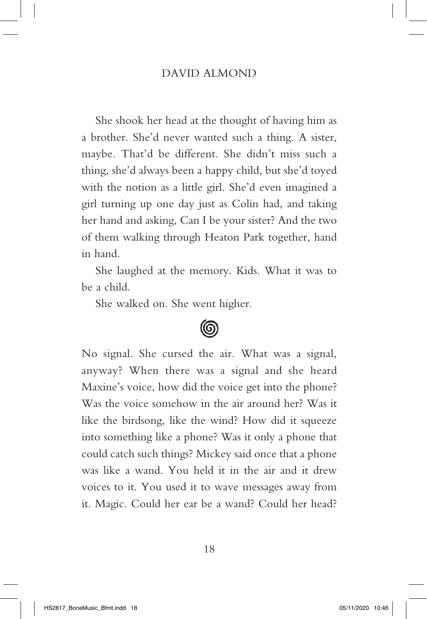She shook her head at the thought of having him as a brother. She'd never wanted such a thing. A sister, maybe. That'd be different. She didn't miss such a thing, she'd always been a happy child, but she'd toyed with the notion as a little girl. She'd even imagined a girl turning up one day just as Colin had, and taking her hand and asking, Can I be your sister? And the two of them walking through Heaton Park together, hand in hand.

She laughed at the memory. Kids. What it was to be a child.

She walked on. She went higher.



No signal. She cursed the air. What was a signal, anyway? When there was a signal and she heard Maxine's voice, how did the voice get into the phone? Was the voice somehow in the air around her? Was it like the birdsong, like the wind? How did it squeeze into something like a phone? Was it only a phone that could catch such things? Mickey said once that a phone was like a wand. You held it in the air and it drew voices to it. You used it to wave messages away from it. Magic. Could her ear be a wand? Could her head?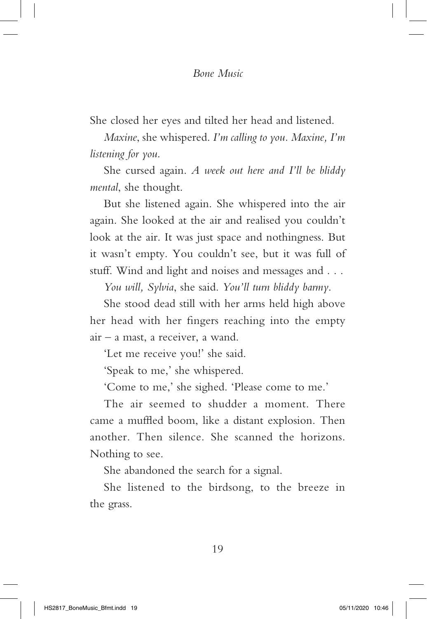She closed her eyes and tilted her head and listened.

*Maxine*, she whispered. *I'm calling to you. Maxine, I'm listening for you*.

She cursed again. *A week out here and I'll be bliddy mental*, she thought.

But she listened again. She whispered into the air again. She looked at the air and realised you couldn't look at the air. It was just space and nothingness. But it wasn't empty. You couldn't see, but it was full of stuff. Wind and light and noises and messages and . . .

*You will, Sylvia*, she said. *You'll turn bliddy barmy*.

She stood dead still with her arms held high above her head with her fingers reaching into the empty air – a mast, a receiver, a wand.

'Let me receive you!' she said.

'Speak to me,' she whispered.

'Come to me,' she sighed. 'Please come to me.'

The air seemed to shudder a moment. There came a muffled boom, like a distant explosion. Then another. Then silence. She scanned the horizons. Nothing to see.

She abandoned the search for a signal.

She listened to the birdsong, to the breeze in the grass.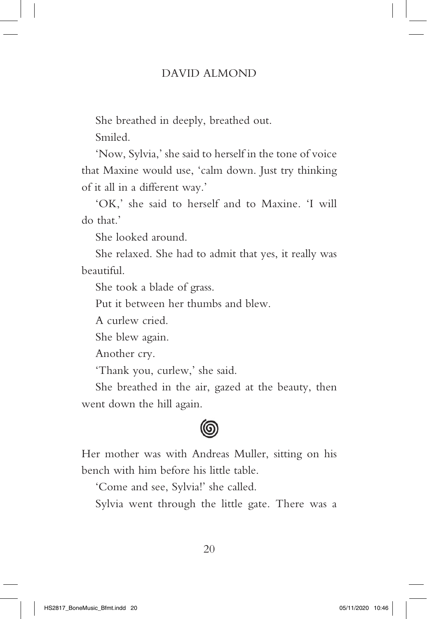She breathed in deeply, breathed out.

Smiled.

'Now, Sylvia,' she said to herself in the tone of voice that Maxine would use, 'calm down. Just try thinking of it all in a different way.'

'OK,' she said to herself and to Maxine. 'I will do that.'

She looked around.

She relaxed. She had to admit that yes, it really was beautiful.

She took a blade of grass.

Put it between her thumbs and blew.

A curlew cried.

She blew again.

Another cry.

'Thank you, curlew,' she said.

She breathed in the air, gazed at the beauty, then went down the hill again.



Her mother was with Andreas Muller, sitting on his bench with him before his little table.

'Come and see, Sylvia!' she called.

Sylvia went through the little gate. There was a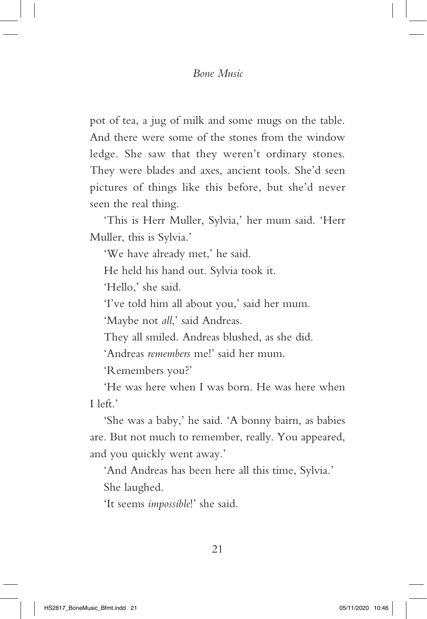pot of tea, a jug of milk and some mugs on the table. And there were some of the stones from the window ledge. She saw that they weren't ordinary stones. They were blades and axes, ancient tools. She'd seen pictures of things like this before, but she'd never seen the real thing.

'This is Herr Muller, Sylvia,' her mum said. 'Herr Muller, this is Sylvia.'

'We have already met,' he said.

He held his hand out. Sylvia took it.

'Hello,' she said.

'I've told him all about you,' said her mum.

'Maybe not *all*,' said Andreas.

They all smiled. Andreas blushed, as she did.

'Andreas *remembers* me!' said her mum.

'Remembers you?'

'He was here when I was born. He was here when I left.'

'She was a baby,' he said. 'A bonny bairn, as babies are. But not much to remember, really. You appeared, and you quickly went away.'

'And Andreas has been here all this time, Sylvia.' She laughed.

'It seems *impossible*!' she said.